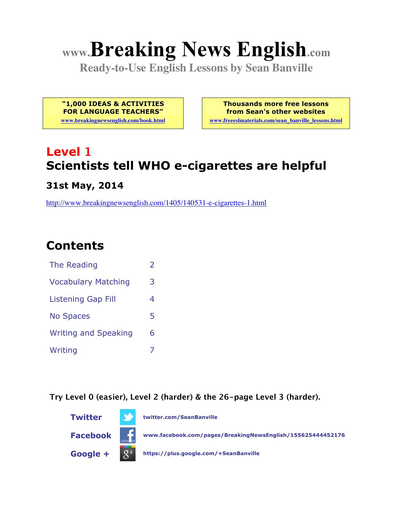# **www.Breaking News English.com**

**Ready-to-Use English Lessons by Sean Banville**

**"1,000 IDEAS & ACTIVITIES FOR LANGUAGE TEACHERS"**

**www.breakingnewsenglish.com/book.html**

**Thousands more free lessons from Sean's other websites www.freeeslmaterials.com/sean\_banville\_lessons.html**

# **Level 1 Scientists tell WHO e-cigarettes are helpful**

**31st May, 2014**

http://www.breakingnewsenglish.com/1405/140531-e-cigarettes-1.html

## **Contents**

| The Reading                 |   |
|-----------------------------|---|
| <b>Vocabulary Matching</b>  | 3 |
| Listening Gap Fill          | 4 |
| <b>No Spaces</b>            | 5 |
| <b>Writing and Speaking</b> | 6 |
| Writing                     |   |

**Try Level 0 (easier), Level 2 (harder) & the 26-page Level 3 (harder).**

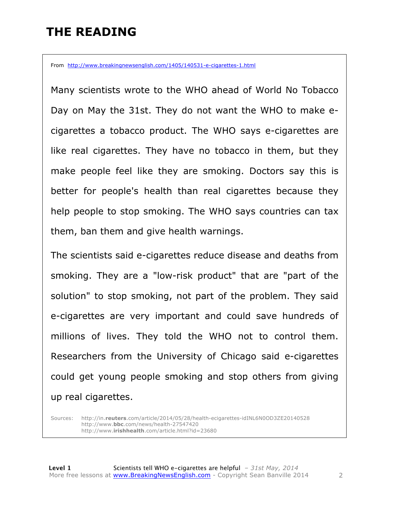### **THE READING**

From http://www.breakingnewsenglish.com/1405/140531-e-cigarettes-1.html

Many scientists wrote to the WHO ahead of World No Tobacco Day on May the 31st. They do not want the WHO to make ecigarettes a tobacco product. The WHO says e-cigarettes are like real cigarettes. They have no tobacco in them, but they make people feel like they are smoking. Doctors say this is better for people's health than real cigarettes because they help people to stop smoking. The WHO says countries can tax them, ban them and give health warnings.

The scientists said e-cigarettes reduce disease and deaths from smoking. They are a "low-risk product" that are "part of the solution" to stop smoking, not part of the problem. They said e-cigarettes are very important and could save hundreds of millions of lives. They told the WHO not to control them. Researchers from the University of Chicago said e-cigarettes could get young people smoking and stop others from giving up real cigarettes.

Sources: http://in.**reuters**.com/article/2014/05/28/health-ecigarettes-idINL6N0OD3ZE20140528 http://www.**bbc**.com/news/health-27547420 http://www.**irishhealth**.com/article.html?id=23680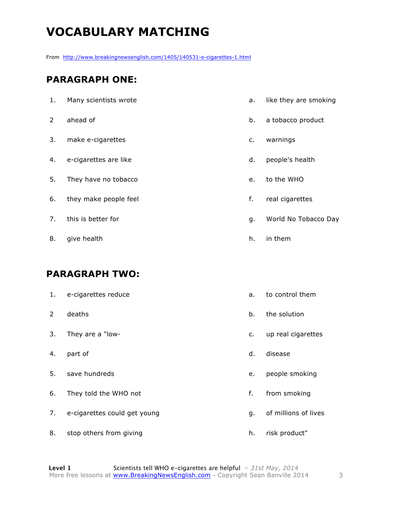# **VOCABULARY MATCHING**

From http://www.breakingnewsenglish.com/1405/140531-e-cigarettes-1.html

#### **PARAGRAPH ONE:**

| 1. | Many scientists wrote | a. | like they are smoking |
|----|-----------------------|----|-----------------------|
| 2  | ahead of              | b. | a tobacco product     |
| 3. | make e-cigarettes     | c. | warnings              |
| 4. | e-cigarettes are like | d. | people's health       |
| 5. | They have no tobacco  | e. | to the WHO            |
| 6. | they make people feel | f. | real cigarettes       |
| 7. | this is better for    | g. | World No Tobacco Day  |
| 8. | give health           | h. | in them               |

#### **PARAGRAPH TWO:**

| 1.             | e-cigarettes reduce          | a. | to control them      |
|----------------|------------------------------|----|----------------------|
| $\overline{2}$ | deaths                       | b. | the solution         |
| 3.             | They are a "low-             | c. | up real cigarettes   |
| 4.             | part of                      | d. | disease              |
| 5.             | save hundreds                | e. | people smoking       |
| 6.             | They told the WHO not        | f. | from smoking         |
| 7.             | e-cigarettes could get young | g. | of millions of lives |
| 8.             | stop others from giving      | h. | risk product"        |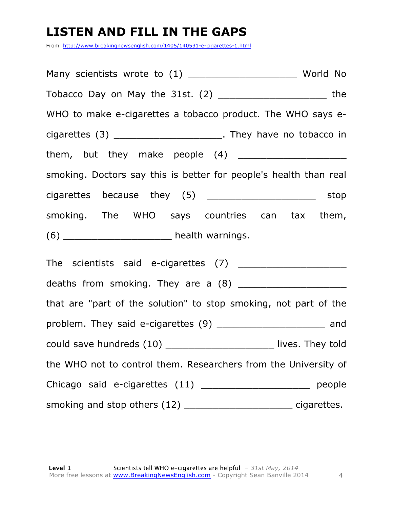### **LISTEN AND FILL IN THE GAPS**

From http://www.breakingnewsenglish.com/1405/140531-e-cigarettes-1.html

Many scientists wrote to (1) \_\_\_\_\_\_\_\_\_\_\_\_\_\_\_\_\_\_\_\_\_\_\_\_\_ World No Tobacco Day on May the 31st. (2) \_\_\_\_\_\_\_\_\_\_\_\_\_\_\_\_\_\_\_ the WHO to make e-cigarettes a tobacco product. The WHO says ecigarettes (3) \_\_\_\_\_\_\_\_\_\_\_\_\_\_\_\_\_\_\_\_\_\_\_\_. They have no tobacco in them, but they make people  $(4)$ smoking. Doctors say this is better for people's health than real cigarettes because they (5) \_\_\_\_\_\_\_\_\_\_\_\_\_\_\_\_\_\_\_\_\_\_ stop smoking. The WHO says countries can tax them, (6) \_\_\_\_\_\_\_\_\_\_\_\_\_\_\_\_\_\_\_ health warnings. The scientists said e-cigarettes (7) \_\_\_\_\_\_\_\_\_\_\_\_\_\_\_\_\_\_\_ deaths from smoking. They are a (8) \_\_\_\_\_\_\_\_\_\_\_\_\_\_\_\_\_\_\_ that are "part of the solution" to stop smoking, not part of the problem. They said e-cigarettes (9) \_\_\_\_\_\_\_\_\_\_\_\_\_\_\_\_\_\_\_\_\_\_\_ and could save hundreds (10) \_\_\_\_\_\_\_\_\_\_\_\_\_\_\_\_\_\_\_\_\_\_\_\_\_ lives. They told the WHO not to control them. Researchers from the University of Chicago said e-cigarettes (11) \_\_\_\_\_\_\_\_\_\_\_\_\_\_\_\_\_\_\_\_\_\_\_\_\_ people smoking and stop others (12) \_\_\_\_\_\_\_\_\_\_\_\_\_\_\_\_\_\_\_\_\_\_\_\_\_\_\_\_\_ cigarettes.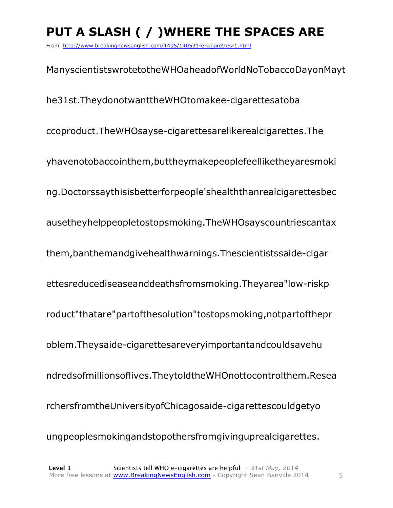# **PUT A SLASH ( / )WHERE THE SPACES ARE**

From http://www.breakingnewsenglish.com/1405/140531-e-cigarettes-1.html

ManyscientistswrotetotheWHOaheadofWorldNoTobaccoDayonMayt he31st.TheydonotwanttheWHOtomakee-cigarettesatoba ccoproduct.TheWHOsayse-cigarettesarelikerealcigarettes.The yhavenotobaccointhem,buttheymakepeoplefeelliketheyaresmoki ng.Doctorssaythisisbetterforpeople'shealththanrealcigarettesbec ausetheyhelppeopletostopsmoking.TheWHOsayscountriescantax them,banthemandgivehealthwarnings.Thescientistssaide-cigar ettesreducediseaseanddeathsfromsmoking.Theyarea"low-riskp roduct"thatare"partofthesolution"tostopsmoking,notpartofthepr oblem.Theysaide-cigarettesareveryimportantandcouldsavehu ndredsofmillionsoflives.TheytoldtheWHOnottocontrolthem.Resea rchersfromtheUniversityofChicagosaide-cigarettescouldgetyo ungpeoplesmokingandstopothersfromgivinguprealcigarettes.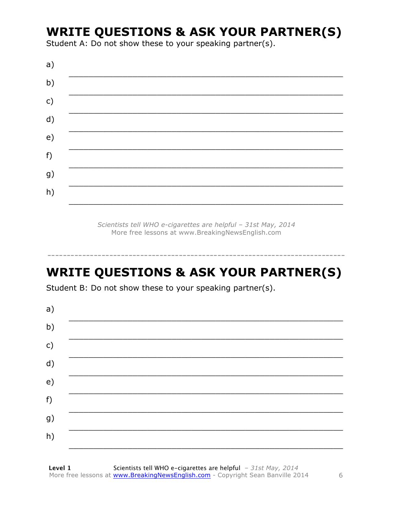### **WRITE QUESTIONS & ASK YOUR PARTNER(S)**

Student A: Do not show these to your speaking partner(s).

Scientists tell WHO e-cigarettes are helpful - 31st May, 2014 More free lessons at www.BreakingNewsEnglish.com

# **WRITE QUESTIONS & ASK YOUR PARTNER(S)**

Student B: Do not show these to your speaking partner(s).